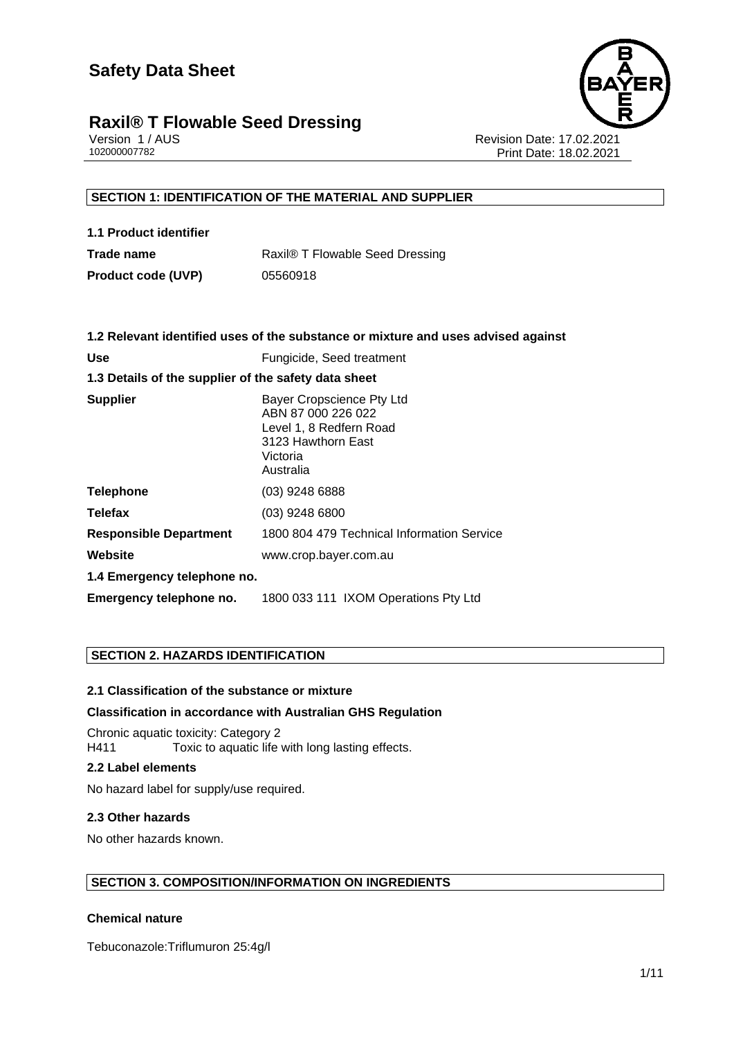## **Raxil® T Flowable Seed Dressing**<br>Version 1/AUS



Version 1 / AUS<br>10200007782<br>Print Date: 18.02 Print Date: 18.02.2021

#### **SECTION 1: IDENTIFICATION OF THE MATERIAL AND SUPPLIER**

| 1.1 Product identifier    |                                 |
|---------------------------|---------------------------------|
| Trade name                | Raxil® T Flowable Seed Dressing |
| <b>Product code (UVP)</b> | 05560918                        |

|                                                      | 1.2 Relevant identified uses of the substance or mixture and uses advised against                                         |  |
|------------------------------------------------------|---------------------------------------------------------------------------------------------------------------------------|--|
| <b>Use</b>                                           | Fungicide, Seed treatment                                                                                                 |  |
| 1.3 Details of the supplier of the safety data sheet |                                                                                                                           |  |
| <b>Supplier</b>                                      | Bayer Cropscience Pty Ltd<br>ABN 87 000 226 022<br>Level 1, 8 Redfern Road<br>3123 Hawthorn East<br>Victoria<br>Australia |  |
| <b>Telephone</b>                                     | $(03)$ 9248 6888                                                                                                          |  |
| <b>Telefax</b>                                       | $(03)$ 9248 6800                                                                                                          |  |
| <b>Responsible Department</b>                        | 1800 804 479 Technical Information Service                                                                                |  |
| Website                                              | www.crop.bayer.com.au                                                                                                     |  |
| 1.4 Emergency telephone no.                          |                                                                                                                           |  |
| Emergency telephone no.                              | 1800 033 111 IXOM Operations Pty Ltd                                                                                      |  |

#### **SECTION 2. HAZARDS IDENTIFICATION**

#### **2.1 Classification of the substance or mixture**

#### **Classification in accordance with Australian GHS Regulation**

Chronic aquatic toxicity: Category 2 H411 Toxic to aquatic life with long lasting effects.

#### **2.2 Label elements**

No hazard label for supply/use required.

#### **2.3 Other hazards**

No other hazards known.

#### **SECTION 3. COMPOSITION/INFORMATION ON INGREDIENTS**

#### **Chemical nature**

Tebuconazole:Triflumuron 25:4g/l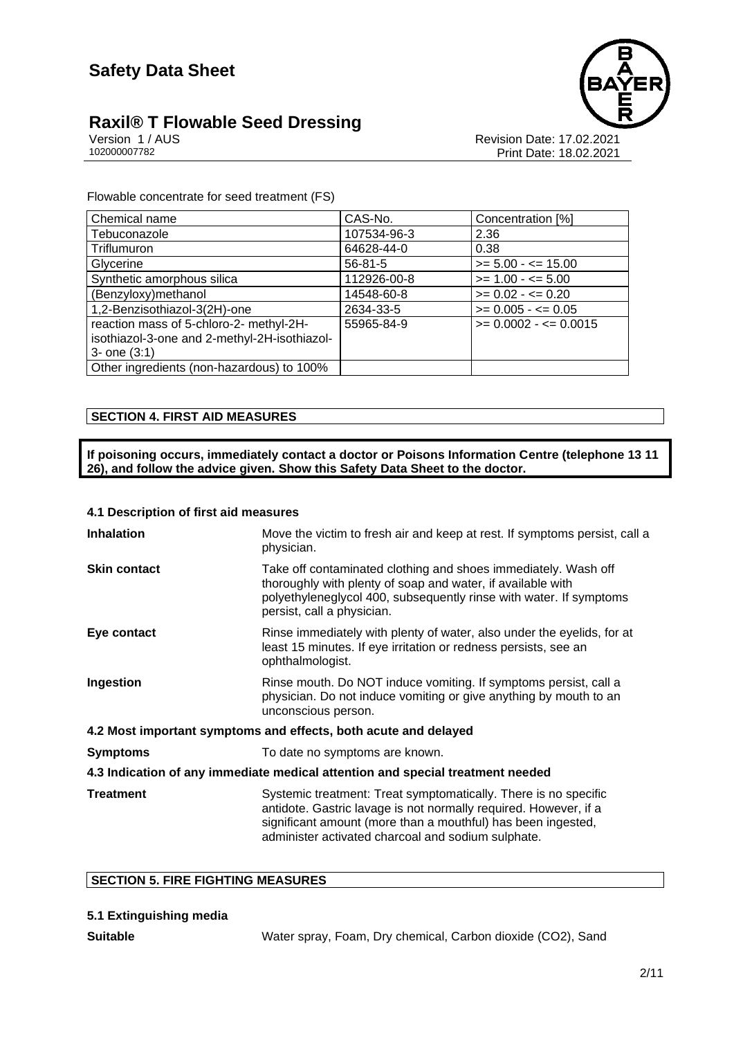## **Raxil® T Flowable Seed Dressing**<br>Version 1/AUS



Version 1 / AUS<br>10200007782<br>Print Date: 18.02 Print Date: 18.02.2021

Flowable concentrate for seed treatment (FS)

| Chemical name                                | CAS-No.       | Concentration [%]        |
|----------------------------------------------|---------------|--------------------------|
| Tebuconazole                                 | 107534-96-3   | 2.36                     |
| Triflumuron                                  | 64628-44-0    | 0.38                     |
| Glycerine                                    | $56 - 81 - 5$ | $>= 5.00 - \le 15.00$    |
| Synthetic amorphous silica                   | 112926-00-8   | $>= 1.00 - 5.00$         |
| (Benzyloxy) methanol                         | 14548-60-8    | $>= 0.02 - \le 0.20$     |
| 1,2-Benzisothiazol-3(2H)-one                 | 2634-33-5     | $>= 0.005 - \le 0.05$    |
| reaction mass of 5-chloro-2- methyl-2H-      | 55965-84-9    | $>= 0.0002 - \le 0.0015$ |
| isothiazol-3-one and 2-methyl-2H-isothiazol- |               |                          |
| $3 -$ one $(3:1)$                            |               |                          |
| Other ingredients (non-hazardous) to 100%    |               |                          |

#### **SECTION 4. FIRST AID MEASURES**

**If poisoning occurs, immediately contact a doctor or Poisons Information Centre (telephone 13 11 26), and follow the advice given. Show this Safety Data Sheet to the doctor.**

#### **4.1 Description of first aid measures**

| <b>Inhalation</b>   | Move the victim to fresh air and keep at rest. If symptoms persist, call a<br>physician.                                                                                                                                                                  |
|---------------------|-----------------------------------------------------------------------------------------------------------------------------------------------------------------------------------------------------------------------------------------------------------|
| <b>Skin contact</b> | Take off contaminated clothing and shoes immediately. Wash off<br>thoroughly with plenty of soap and water, if available with<br>polyethyleneglycol 400, subsequently rinse with water. If symptoms<br>persist, call a physician.                         |
| Eye contact         | Rinse immediately with plenty of water, also under the eyelids, for at<br>least 15 minutes. If eye irritation or redness persists, see an<br>ophthalmologist.                                                                                             |
| Ingestion           | Rinse mouth. Do NOT induce vomiting. If symptoms persist, call a<br>physician. Do not induce vomiting or give anything by mouth to an<br>unconscious person.                                                                                              |
|                     | 4.2 Most important symptoms and effects, both acute and delayed                                                                                                                                                                                           |
| <b>Symptoms</b>     | To date no symptoms are known.                                                                                                                                                                                                                            |
|                     | 4.3 Indication of any immediate medical attention and special treatment needed                                                                                                                                                                            |
| <b>Treatment</b>    | Systemic treatment: Treat symptomatically. There is no specific<br>antidote. Gastric lavage is not normally required. However, if a<br>significant amount (more than a mouthful) has been ingested,<br>administer activated charcoal and sodium sulphate. |

#### **SECTION 5. FIRE FIGHTING MEASURES**

| 5.1 Extinguishing media |  |
|-------------------------|--|
|                         |  |

**Suitable** Water spray, Foam, Dry chemical, Carbon dioxide (CO2), Sand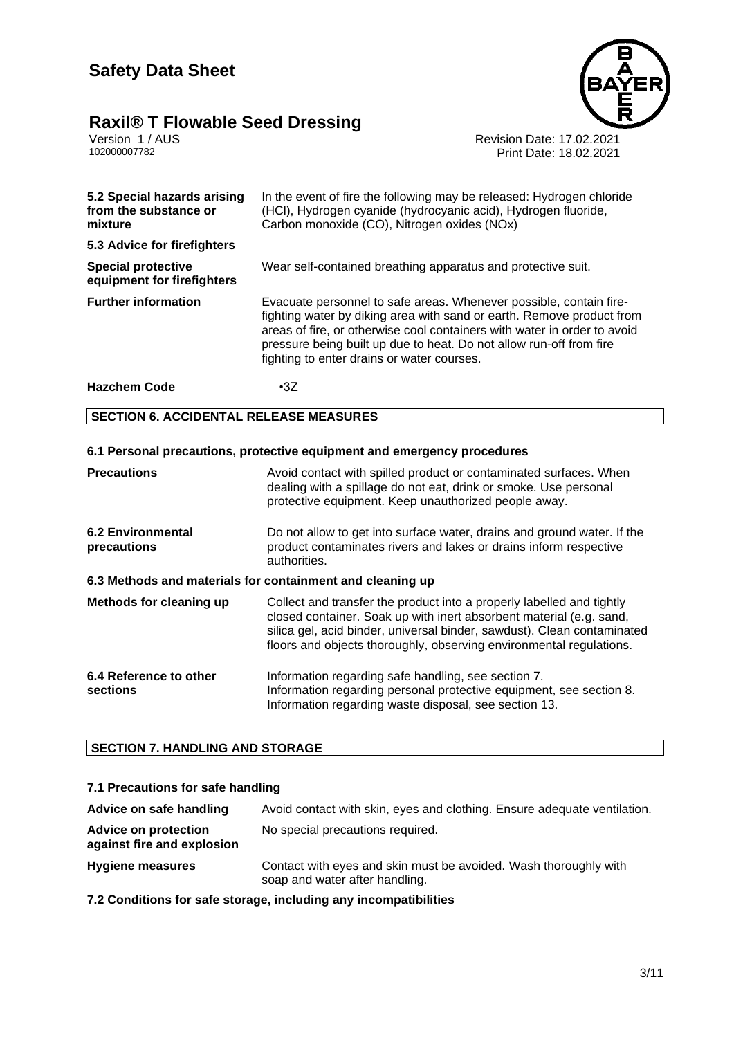## **Raxil® T Flowable Seed Dressing 3/11**



Version 1 / AUS Revision Date: 17.02.2021 102000007782 Print Date: 18.02.2021

| 5.2 Special hazards arising<br>from the substance or<br>mixture | In the event of fire the following may be released: Hydrogen chloride<br>(HCI), Hydrogen cyanide (hydrocyanic acid), Hydrogen fluoride,<br>Carbon monoxide (CO), Nitrogen oxides (NOx)                                                                                                                                                       |  |
|-----------------------------------------------------------------|----------------------------------------------------------------------------------------------------------------------------------------------------------------------------------------------------------------------------------------------------------------------------------------------------------------------------------------------|--|
| 5.3 Advice for firefighters                                     |                                                                                                                                                                                                                                                                                                                                              |  |
| <b>Special protective</b><br>equipment for firefighters         | Wear self-contained breathing apparatus and protective suit.                                                                                                                                                                                                                                                                                 |  |
| <b>Further information</b>                                      | Evacuate personnel to safe areas. Whenever possible, contain fire-<br>fighting water by diking area with sand or earth. Remove product from<br>areas of fire, or otherwise cool containers with water in order to avoid<br>pressure being built up due to heat. Do not allow run-off from fire<br>fighting to enter drains or water courses. |  |
| <b>Hazchem Code</b>                                             | $\cdot 3Z$                                                                                                                                                                                                                                                                                                                                   |  |
| <b>SECTION 6. ACCIDENTAL RELEASE MEASURES</b>                   |                                                                                                                                                                                                                                                                                                                                              |  |
|                                                                 |                                                                                                                                                                                                                                                                                                                                              |  |
|                                                                 | 6.1 Personal precautions, protective equipment and emergency procedures                                                                                                                                                                                                                                                                      |  |
| <b>Precautions</b>                                              | Avoid contact with spilled product or contaminated surfaces. When<br>dealing with a spillage do not eat, drink or smoke. Use personal<br>protective equipment. Keep unauthorized people away.                                                                                                                                                |  |
| <b>6.2 Environmental</b><br>precautions                         | Do not allow to get into surface water, drains and ground water. If the<br>product contaminates rivers and lakes or drains inform respective<br>authorities.                                                                                                                                                                                 |  |
|                                                                 | 6.3 Methods and materials for containment and cleaning up                                                                                                                                                                                                                                                                                    |  |
| Methods for cleaning up                                         | Collect and transfer the product into a properly labelled and tightly<br>closed container. Soak up with inert absorbent material (e.g. sand,<br>silica gel, acid binder, universal binder, sawdust). Clean contaminated                                                                                                                      |  |

| 6.4 Reference to other | Information regarding safe handling, see section 7.                 |
|------------------------|---------------------------------------------------------------------|
| <b>sections</b>        | Information regarding personal protective equipment, see section 8. |
|                        | Information regarding waste disposal, see section 13.               |

floors and objects thoroughly, observing environmental regulations.

#### **SECTION 7. HANDLING AND STORAGE**

#### **7.1 Precautions for safe handling**

| Advice on safe handling                                   | Avoid contact with skin, eyes and clothing. Ensure adequate ventilation.                           |
|-----------------------------------------------------------|----------------------------------------------------------------------------------------------------|
| <b>Advice on protection</b><br>against fire and explosion | No special precautions required.                                                                   |
| <b>Hygiene measures</b>                                   | Contact with eyes and skin must be avoided. Wash thoroughly with<br>soap and water after handling. |

**7.2 Conditions for safe storage, including any incompatibilities**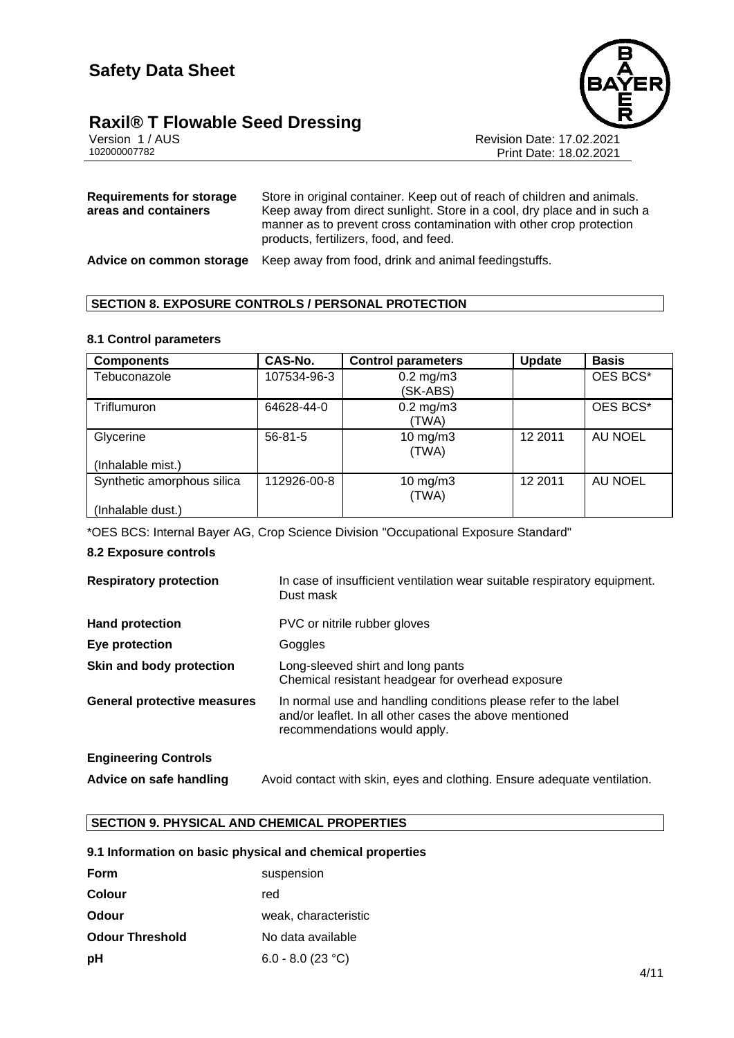

**Raxil® T Flowable Seed Dressing**<br> *Version 1/AUS***<br>
102000007782** 

Revision Date: 17.02.2021 Print Date: 18.02.2021

| Requirements for storage | Store in original container. Keep out of reach of children and animals.                                                                                                                   |
|--------------------------|-------------------------------------------------------------------------------------------------------------------------------------------------------------------------------------------|
| areas and containers     | Keep away from direct sunlight. Store in a cool, dry place and in such a<br>manner as to prevent cross contamination with other crop protection<br>products, fertilizers, food, and feed. |

**Advice on common storage** Keep away from food, drink and animal feedingstuffs.

#### **SECTION 8. EXPOSURE CONTROLS / PERSONAL PROTECTION**

#### **8.1 Control parameters**

| <b>Components</b>          | CAS-No.       | <b>Control parameters</b>  | Update  | <b>Basis</b> |
|----------------------------|---------------|----------------------------|---------|--------------|
| Tebuconazole               | 107534-96-3   | $0.2$ mg/m $3$<br>(SK-ABS) |         | OES BCS*     |
| <b>Triflumuron</b>         | 64628-44-0    | $0.2$ mg/m $3$<br>(TWA)    |         | OES BCS*     |
| Glycerine                  | $56 - 81 - 5$ | $10$ mg/m $3$<br>(TWA)     | 12 2011 | AU NOEL      |
| (Inhalable mist.)          |               |                            |         |              |
| Synthetic amorphous silica | 112926-00-8   | $10$ mg/m $3$<br>(TWA)     | 12 2011 | AU NOEL      |
| (Inhalable dust.)          |               |                            |         |              |

\*OES BCS: Internal Bayer AG, Crop Science Division "Occupational Exposure Standard"

#### **8.2 Exposure controls**

| <b>Respiratory protection</b>      | In case of insufficient ventilation wear suitable respiratory equipment.<br>Dust mask                                                                     |
|------------------------------------|-----------------------------------------------------------------------------------------------------------------------------------------------------------|
| <b>Hand protection</b>             | PVC or nitrile rubber gloves                                                                                                                              |
| Eye protection                     | Goggles                                                                                                                                                   |
| Skin and body protection           | Long-sleeved shirt and long pants<br>Chemical resistant headgear for overhead exposure                                                                    |
| <b>General protective measures</b> | In normal use and handling conditions please refer to the label<br>and/or leaflet. In all other cases the above mentioned<br>recommendations would apply. |
| <b>Engineering Controls</b>        |                                                                                                                                                           |
| Advice on safe handling            | Avoid contact with skin, eyes and clothing. Ensure adequate ventilation.                                                                                  |

#### **SECTION 9. PHYSICAL AND CHEMICAL PROPERTIES**

#### **9.1 Information on basic physical and chemical properties**

| Form                   | suspension           |
|------------------------|----------------------|
| <b>Colour</b>          | red                  |
| Odour                  | weak, characteristic |
| <b>Odour Threshold</b> | No data available    |
| рH                     | 6.0 - 8.0 (23 °C)    |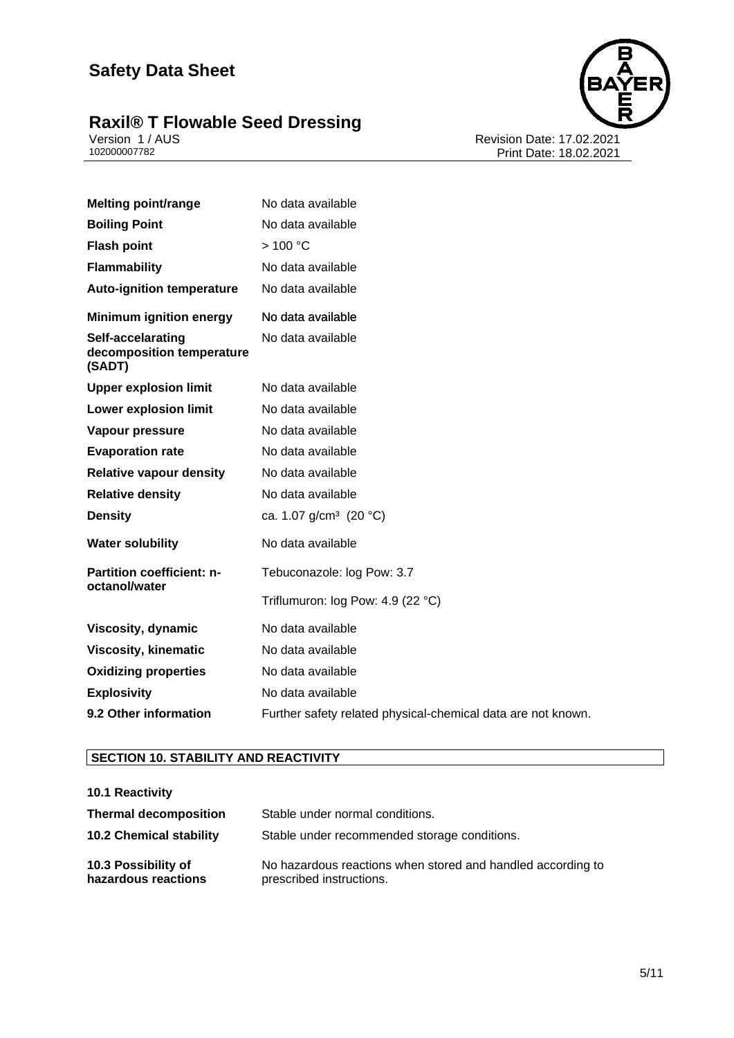### **Raxil® T Flowable Seed Dressing 5/11**



Version 1 / AUS Revision Date: 17.02.2021 102000007782 Print Date: 18.02.2021

| <b>Melting point/range</b>                               | No data available                                            |
|----------------------------------------------------------|--------------------------------------------------------------|
| <b>Boiling Point</b>                                     | No data available                                            |
| <b>Flash point</b>                                       | >100 °C                                                      |
| <b>Flammability</b>                                      | No data available                                            |
| <b>Auto-ignition temperature</b>                         | No data available                                            |
| <b>Minimum ignition energy</b>                           | No data available                                            |
| Self-accelarating<br>decomposition temperature<br>(SADT) | No data available                                            |
| <b>Upper explosion limit</b>                             | No data available                                            |
| <b>Lower explosion limit</b>                             | No data available                                            |
| Vapour pressure                                          | No data available                                            |
| <b>Evaporation rate</b>                                  | No data available                                            |
| <b>Relative vapour density</b>                           | No data available                                            |
| <b>Relative density</b>                                  | No data available                                            |
| <b>Density</b>                                           | ca. 1.07 g/cm <sup>3</sup> (20 °C)                           |
| <b>Water solubility</b>                                  | No data available                                            |
| <b>Partition coefficient: n-</b><br>octanol/water        | Tebuconazole: log Pow: 3.7                                   |
|                                                          | Triflumuron: log Pow: 4.9 (22 °C)                            |
| Viscosity, dynamic                                       | No data available                                            |
| <b>Viscosity, kinematic</b>                              | No data available                                            |
| <b>Oxidizing properties</b>                              | No data available                                            |
| <b>Explosivity</b>                                       | No data available                                            |
| 9.2 Other information                                    | Further safety related physical-chemical data are not known. |

#### **SECTION 10. STABILITY AND REACTIVITY**

| 10.1 Reactivity                            |                                                                                         |
|--------------------------------------------|-----------------------------------------------------------------------------------------|
| <b>Thermal decomposition</b>               | Stable under normal conditions.                                                         |
| <b>10.2 Chemical stability</b>             | Stable under recommended storage conditions.                                            |
| 10.3 Possibility of<br>hazardous reactions | No hazardous reactions when stored and handled according to<br>prescribed instructions. |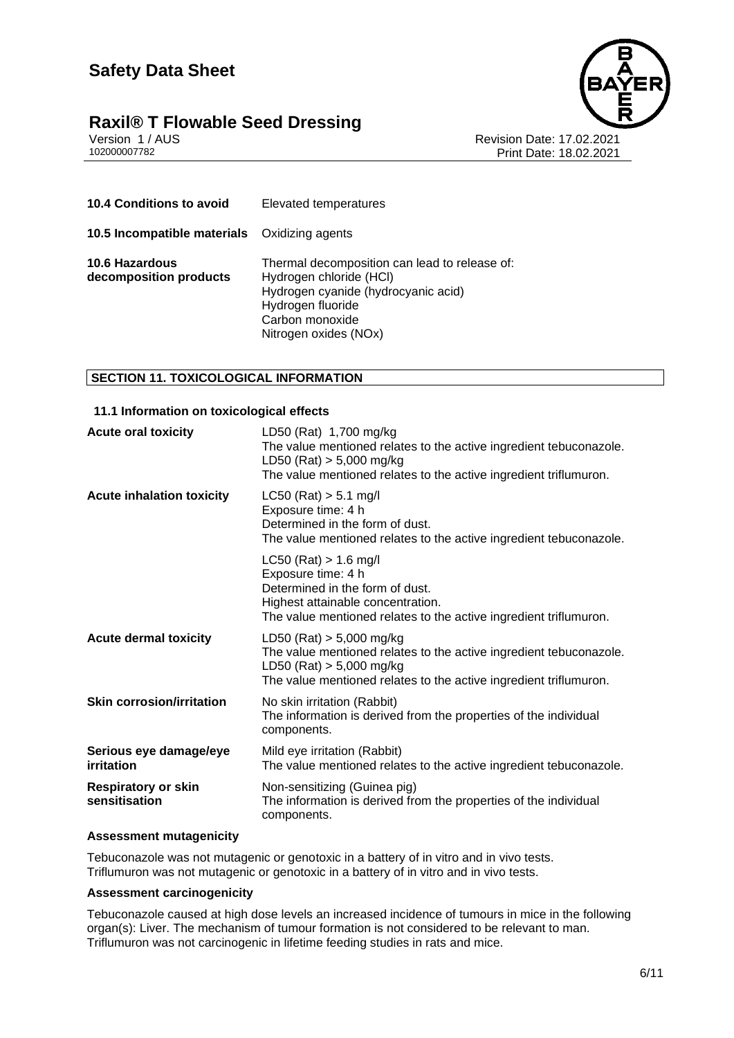

## **Raxil® T Flowable Seed Dressing**<br>Version 1/AUS

Version 1 / AUS<br>10200007782<br>Print Date: 18.02 Print Date: 18.02.2021

| <b>10.4 Conditions to avoid</b>                     | Elevated temperatures                                                                                                                                                            |
|-----------------------------------------------------|----------------------------------------------------------------------------------------------------------------------------------------------------------------------------------|
| <b>10.5 Incompatible materials</b> Oxidizing agents |                                                                                                                                                                                  |
| 10.6 Hazardous<br>decomposition products            | Thermal decomposition can lead to release of:<br>Hydrogen chloride (HCI)<br>Hydrogen cyanide (hydrocyanic acid)<br>Hydrogen fluoride<br>Carbon monoxide<br>Nitrogen oxides (NOx) |

#### **SECTION 11. TOXICOLOGICAL INFORMATION**

#### **11.1 Information on toxicological effects**

| <b>Acute oral toxicity</b>                  | LD50 (Rat) 1,700 mg/kg<br>The value mentioned relates to the active ingredient tebuconazole.<br>LD50 (Rat) $> 5,000$ mg/kg<br>The value mentioned relates to the active ingredient triflumuron.     |
|---------------------------------------------|-----------------------------------------------------------------------------------------------------------------------------------------------------------------------------------------------------|
| <b>Acute inhalation toxicity</b>            | $LC50$ (Rat) $> 5.1$ mg/l<br>Exposure time: 4 h<br>Determined in the form of dust.<br>The value mentioned relates to the active ingredient tebuconazole.                                            |
|                                             | $LC50$ (Rat) > 1.6 mg/l<br>Exposure time: 4 h<br>Determined in the form of dust.<br>Highest attainable concentration.<br>The value mentioned relates to the active ingredient triflumuron.          |
| <b>Acute dermal toxicity</b>                | LD50 (Rat) $> 5,000$ mg/kg<br>The value mentioned relates to the active ingredient tebuconazole.<br>LD50 (Rat) $> 5,000$ mg/kg<br>The value mentioned relates to the active ingredient triflumuron. |
| <b>Skin corrosion/irritation</b>            | No skin irritation (Rabbit)<br>The information is derived from the properties of the individual<br>components.                                                                                      |
| Serious eye damage/eye<br>irritation        | Mild eye irritation (Rabbit)<br>The value mentioned relates to the active ingredient tebuconazole.                                                                                                  |
| <b>Respiratory or skin</b><br>sensitisation | Non-sensitizing (Guinea pig)<br>The information is derived from the properties of the individual<br>components.                                                                                     |

#### **Assessment mutagenicity**

Tebuconazole was not mutagenic or genotoxic in a battery of in vitro and in vivo tests. Triflumuron was not mutagenic or genotoxic in a battery of in vitro and in vivo tests.

#### **Assessment carcinogenicity**

Tebuconazole caused at high dose levels an increased incidence of tumours in mice in the following organ(s): Liver. The mechanism of tumour formation is not considered to be relevant to man. Triflumuron was not carcinogenic in lifetime feeding studies in rats and mice.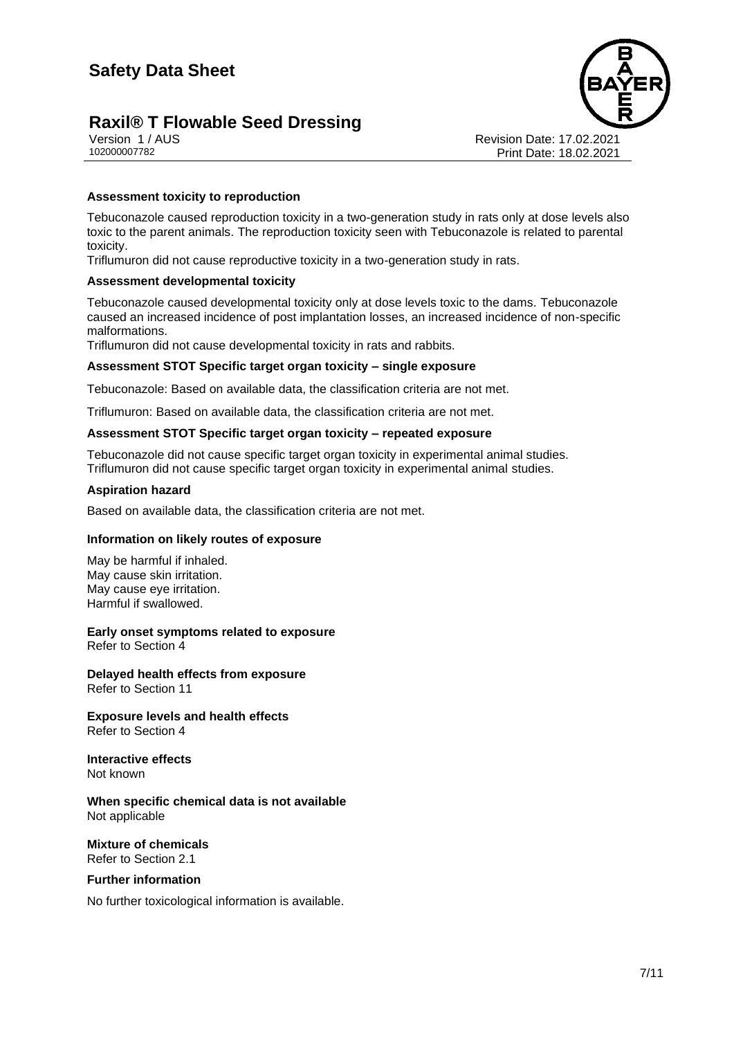## **Raxil® T Flowable Seed Dressing**



Version 1 / AUS Revision Date: 17.02.2021 Print Date: 18.02.2021

#### **Assessment toxicity to reproduction**

Tebuconazole caused reproduction toxicity in a two-generation study in rats only at dose levels also toxic to the parent animals. The reproduction toxicity seen with Tebuconazole is related to parental toxicity.

Triflumuron did not cause reproductive toxicity in a two-generation study in rats.

#### **Assessment developmental toxicity**

Tebuconazole caused developmental toxicity only at dose levels toxic to the dams. Tebuconazole caused an increased incidence of post implantation losses, an increased incidence of non-specific malformations.

Triflumuron did not cause developmental toxicity in rats and rabbits.

#### **Assessment STOT Specific target organ toxicity – single exposure**

Tebuconazole: Based on available data, the classification criteria are not met.

Triflumuron: Based on available data, the classification criteria are not met.

#### **Assessment STOT Specific target organ toxicity – repeated exposure**

Tebuconazole did not cause specific target organ toxicity in experimental animal studies. Triflumuron did not cause specific target organ toxicity in experimental animal studies.

#### **Aspiration hazard**

Based on available data, the classification criteria are not met.

#### **Information on likely routes of exposure**

May be harmful if inhaled. May cause skin irritation. May cause eye irritation. Harmful if swallowed.

**Early onset symptoms related to exposure** Refer to Section 4

**Delayed health effects from exposure** Refer to Section 11

**Exposure levels and health effects** Refer to Section 4

**Interactive effects** Not known

**When specific chemical data is not available** Not applicable

#### **Mixture of chemicals** Refer to Section 2.1

#### **Further information**

No further toxicological information is available.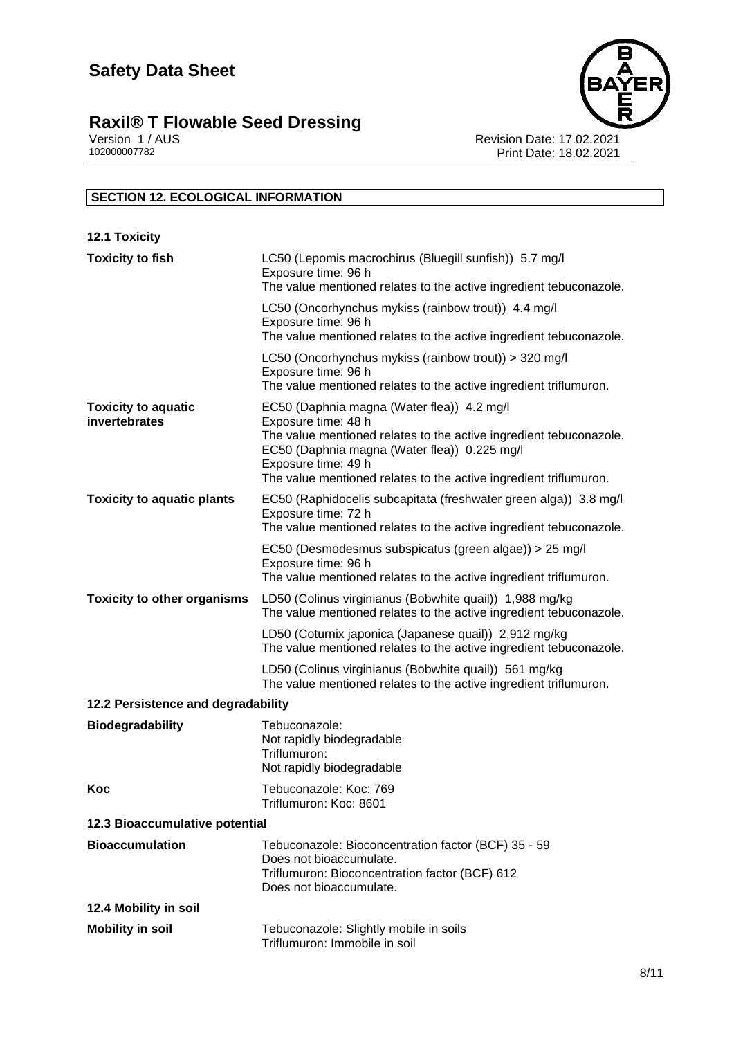### **Raxil® T Flowable Seed Dressing 8/11**



Version 1 / AUS Revision Date: 17.02.2021 102000007782 Print Date: 18.02.2021

### **SECTION 12. ECOLOGICAL INFORMATION**

| <b>12.1 Toxicity</b>                        |                                                                                                                                                                                                                                                                                     |
|---------------------------------------------|-------------------------------------------------------------------------------------------------------------------------------------------------------------------------------------------------------------------------------------------------------------------------------------|
| <b>Toxicity to fish</b>                     | LC50 (Lepomis macrochirus (Bluegill sunfish)) 5.7 mg/l<br>Exposure time: 96 h<br>The value mentioned relates to the active ingredient tebuconazole.                                                                                                                                 |
|                                             | LC50 (Oncorhynchus mykiss (rainbow trout)) 4.4 mg/l<br>Exposure time: 96 h<br>The value mentioned relates to the active ingredient tebuconazole.                                                                                                                                    |
|                                             | LC50 (Oncorhynchus mykiss (rainbow trout)) > 320 mg/l<br>Exposure time: 96 h<br>The value mentioned relates to the active ingredient triflumuron.                                                                                                                                   |
| <b>Toxicity to aquatic</b><br>invertebrates | EC50 (Daphnia magna (Water flea)) 4.2 mg/l<br>Exposure time: 48 h<br>The value mentioned relates to the active ingredient tebuconazole.<br>EC50 (Daphnia magna (Water flea)) 0.225 mg/l<br>Exposure time: 49 h<br>The value mentioned relates to the active ingredient triflumuron. |
| <b>Toxicity to aquatic plants</b>           | EC50 (Raphidocelis subcapitata (freshwater green alga)) 3.8 mg/l<br>Exposure time: 72 h<br>The value mentioned relates to the active ingredient tebuconazole.                                                                                                                       |
|                                             | EC50 (Desmodesmus subspicatus (green algae)) > 25 mg/l<br>Exposure time: 96 h<br>The value mentioned relates to the active ingredient triflumuron.                                                                                                                                  |
| <b>Toxicity to other organisms</b>          | LD50 (Colinus virginianus (Bobwhite quail)) 1,988 mg/kg<br>The value mentioned relates to the active ingredient tebuconazole.                                                                                                                                                       |
|                                             | LD50 (Coturnix japonica (Japanese quail)) 2,912 mg/kg<br>The value mentioned relates to the active ingredient tebuconazole.                                                                                                                                                         |
|                                             | LD50 (Colinus virginianus (Bobwhite quail)) 561 mg/kg<br>The value mentioned relates to the active ingredient triflumuron.                                                                                                                                                          |
| 12.2 Persistence and degradability          |                                                                                                                                                                                                                                                                                     |
| <b>Biodegradability</b>                     | Tebuconazole:<br>Not rapidly biodegradable<br>Triflumuron:<br>Not rapidly biodegradable                                                                                                                                                                                             |
| Koc                                         | Tebuconazole: Koc: 769<br>Triflumuron: Koc: 8601                                                                                                                                                                                                                                    |
| 12.3 Bioaccumulative potential              |                                                                                                                                                                                                                                                                                     |
| <b>Bioaccumulation</b>                      | Tebuconazole: Bioconcentration factor (BCF) 35 - 59<br>Does not bioaccumulate.<br>Triflumuron: Bioconcentration factor (BCF) 612<br>Does not bioaccumulate.                                                                                                                         |
| 12.4 Mobility in soil                       |                                                                                                                                                                                                                                                                                     |
| <b>Mobility in soil</b>                     | Tebuconazole: Slightly mobile in soils<br>Triflumuron: Immobile in soil                                                                                                                                                                                                             |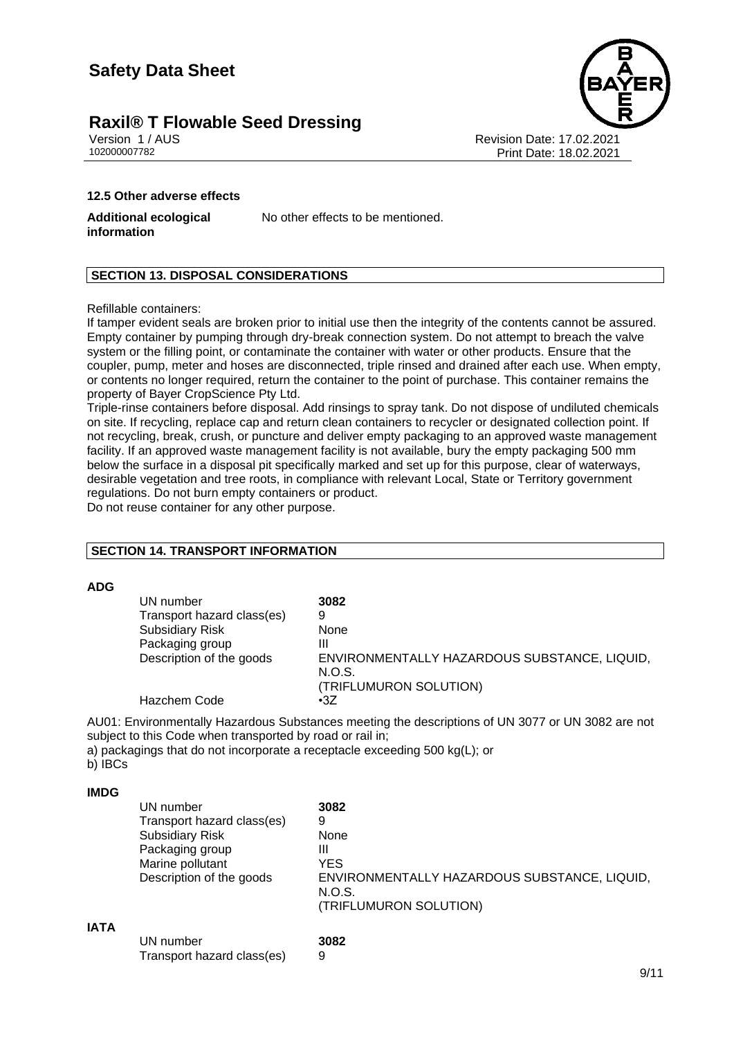## **Raxil® T Flowable Seed Dressing**





Version 1 / AUS Revision Date: 17.02.2021 Print Date: 18.02.2021

#### **12.5 Other adverse effects**

**Additional ecological information**

No other effects to be mentioned.

#### **SECTION 13. DISPOSAL CONSIDERATIONS**

Refillable containers:

If tamper evident seals are broken prior to initial use then the integrity of the contents cannot be assured. Empty container by pumping through dry-break connection system. Do not attempt to breach the valve system or the filling point, or contaminate the container with water or other products. Ensure that the coupler, pump, meter and hoses are disconnected, triple rinsed and drained after each use. When empty, or contents no longer required, return the container to the point of purchase. This container remains the property of Bayer CropScience Pty Ltd.

Triple-rinse containers before disposal. Add rinsings to spray tank. Do not dispose of undiluted chemicals on site. If recycling, replace cap and return clean containers to recycler or designated collection point. If not recycling, break, crush, or puncture and deliver empty packaging to an approved waste management facility. If an approved waste management facility is not available, bury the empty packaging 500 mm below the surface in a disposal pit specifically marked and set up for this purpose, clear of waterways, desirable vegetation and tree roots, in compliance with relevant Local, State or Territory government regulations. Do not burn empty containers or product.

Do not reuse container for any other purpose.

#### **SECTION 14. TRANSPORT INFORMATION**

#### **ADG**

| UN number                  | 3082                                                   |
|----------------------------|--------------------------------------------------------|
| Transport hazard class(es) | 9                                                      |
| <b>Subsidiary Risk</b>     | None                                                   |
| Packaging group            | Ш                                                      |
| Description of the goods   | ENVIRONMENTALLY HAZARDOUS SUBSTANCE, LIQUID,<br>N.O.S. |
|                            | (TRIFLUMURON SOLUTION)                                 |
| Hazchem Code               | $\cdot 37$                                             |

AU01: Environmentally Hazardous Substances meeting the descriptions of UN 3077 or UN 3082 are not subject to this Code when transported by road or rail in;

a) packagings that do not incorporate a receptacle exceeding 500 kg(L); or

b) IBCs

#### **IMDG**

|             | UN number                  | 3082                                                   |
|-------------|----------------------------|--------------------------------------------------------|
|             | Transport hazard class(es) | 9                                                      |
|             | <b>Subsidiary Risk</b>     | None                                                   |
|             | Packaging group            | Ш                                                      |
|             | Marine pollutant           | <b>YES</b>                                             |
|             | Description of the goods   | ENVIRONMENTALLY HAZARDOUS SUBSTANCE, LIQUID,<br>N.O.S. |
|             |                            | (TRIFLUMURON SOLUTION)                                 |
| <b>IATA</b> |                            |                                                        |
|             | UN number                  | 3082                                                   |
|             | Transport hazard class(es) | 9                                                      |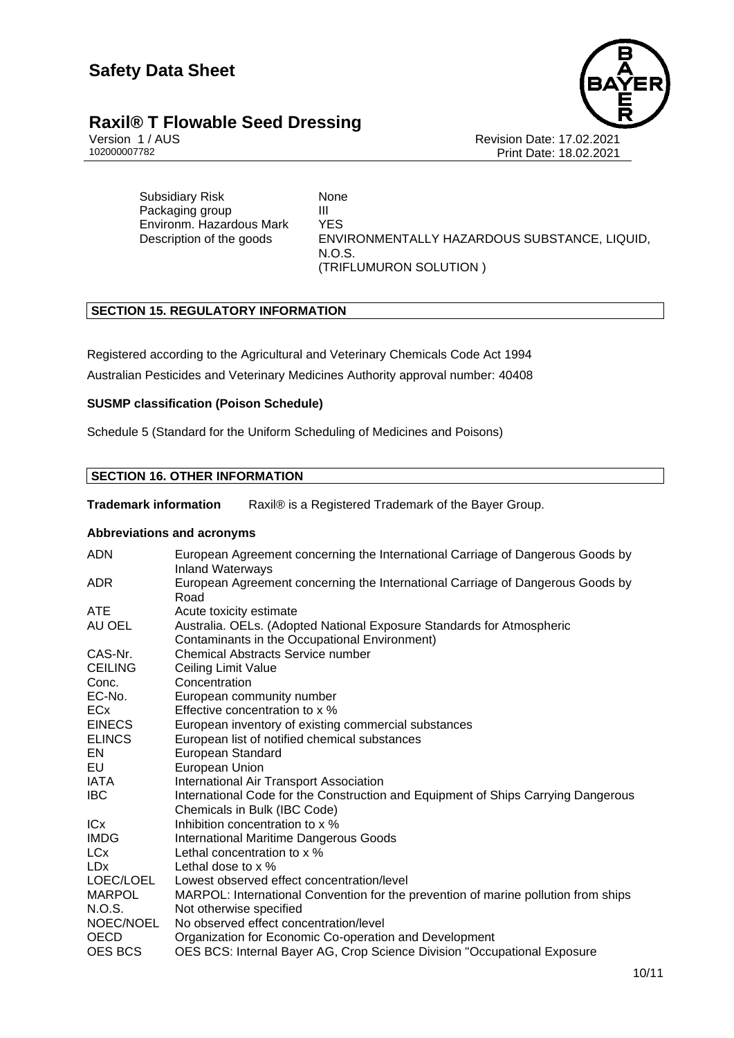## **Raxil® T Flowable Seed Dressing**



Version 1 / AUS<br>10200007782<br>Print Date: 18.02.2021 Print Date: 18.02.2021

Subsidiary Risk None Packaging group **III** Environm. Hazardous Mark YES Description of the goods ENVIRONMENTALLY HAZARDOUS SUBSTANCE, LIQUID, N.O.S. (TRIFLUMURON SOLUTION )

#### **SECTION 15. REGULATORY INFORMATION**

Registered according to the Agricultural and Veterinary Chemicals Code Act 1994

Australian Pesticides and Veterinary Medicines Authority approval number: 40408

#### **SUSMP classification (Poison Schedule)**

Schedule 5 (Standard for the Uniform Scheduling of Medicines and Poisons)

#### **SECTION 16. OTHER INFORMATION**

**Trademark information** Raxil® is a Registered Trademark of the Bayer Group.

#### **Abbreviations and acronyms**

| <b>ADN</b>     | European Agreement concerning the International Carriage of Dangerous Goods by<br><b>Inland Waterways</b> |
|----------------|-----------------------------------------------------------------------------------------------------------|
| ADR.           | European Agreement concerning the International Carriage of Dangerous Goods by                            |
|                | Road                                                                                                      |
| <b>ATE</b>     | Acute toxicity estimate                                                                                   |
| AU OEL         | Australia. OELs. (Adopted National Exposure Standards for Atmospheric                                     |
|                | Contaminants in the Occupational Environment)                                                             |
| CAS-Nr.        | <b>Chemical Abstracts Service number</b>                                                                  |
| <b>CEILING</b> | Ceiling Limit Value                                                                                       |
| Conc.          | Concentration                                                                                             |
| EC-No.         | European community number                                                                                 |
| <b>ECx</b>     | Effective concentration to x %                                                                            |
| <b>EINECS</b>  | European inventory of existing commercial substances                                                      |
| <b>ELINCS</b>  | European list of notified chemical substances                                                             |
| EN.            | European Standard                                                                                         |
| EU             | European Union                                                                                            |
| IATA           | International Air Transport Association                                                                   |
| IBC            | International Code for the Construction and Equipment of Ships Carrying Dangerous                         |
|                | Chemicals in Bulk (IBC Code)                                                                              |
| <b>ICx</b>     | Inhibition concentration to x %                                                                           |
| <b>IMDG</b>    | <b>International Maritime Dangerous Goods</b>                                                             |
| LCx            | Lethal concentration to x %                                                                               |
| LDx            | Lethal dose to $\times$ %                                                                                 |
| LOEC/LOEL      | Lowest observed effect concentration/level                                                                |
| <b>MARPOL</b>  | MARPOL: International Convention for the prevention of marine pollution from ships                        |
| N.O.S.         | Not otherwise specified                                                                                   |
| NOEC/NOEL      | No observed effect concentration/level                                                                    |
| OECD           | Organization for Economic Co-operation and Development                                                    |
| <b>OES BCS</b> | OES BCS: Internal Bayer AG, Crop Science Division "Occupational Exposure                                  |